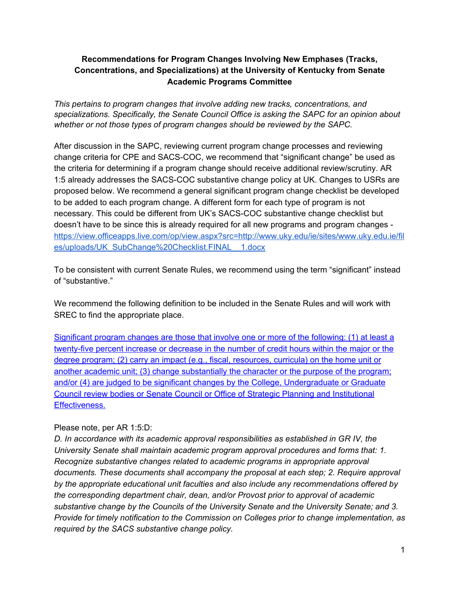### **Recommendations for Program Changes Involving New Emphases (Tracks, Concentrations, and Specializations) at the University of Kentucky from Senate Academic Programs Committee**

*This pertains to program changes that involve adding new tracks, concentrations, and specializations. Specifically, the Senate Council Office is asking the SAPC for an opinion about whether or not those types of program changes should be reviewed by the SAPC.*

After discussion in the SAPC, reviewing current program change processes and reviewing change criteria for CPE and SACS-COC, we recommend that "significant change" be used as the criteria for determining if a program change should receive additional review/scrutiny. AR 1:5 already addresses the SACS-COC substantive change policy at UK. Changes to USRs are proposed below. We recommend a general significant program change checklist be developed to be added to each program change. A different form for each type of program is not necessary. This could be different from UK's SACS-COC substantive change checklist but doesn't have to be since this is already required for all new programs and program changes [https://view.officeapps.live.com/op/view.aspx?src=http://www.uky.edu/ie/sites/www.uky.edu.ie/fil](https://view.officeapps.live.com/op/view.aspx?src=http://www.uky.edu/ie/sites/www.uky.edu.ie/files/uploads/UK_SubChange%20Checklist.FINAL__1.docx) [es/uploads/UK\\_SubChange%20Checklist.FINAL\\_\\_1.docx](https://view.officeapps.live.com/op/view.aspx?src=http://www.uky.edu/ie/sites/www.uky.edu.ie/files/uploads/UK_SubChange%20Checklist.FINAL__1.docx)

To be consistent with current Senate Rules, we recommend using the term "significant" instead of "substantive."

We recommend the following definition to be included in the Senate Rules and will work with SREC to find the appropriate place.

Significant program changes are those that involve one or more of the following: (1) at least a twenty-five percent increase or decrease in the number of credit hours within the major or the degree program; (2) carry an impact (e.g., fiscal, resources, curricula) on the home unit or another academic unit; (3) change substantially the character or the purpose of the program; and/or (4) are judged to be significant changes by the College, Undergraduate or Graduate Council review bodies or Senate Council or Office of Strategic Planning and Institutional Effectiveness.

#### Please note, per AR 1:5:D:

*D. In accordance with its academic approval responsibilities as established in GR IV, the University Senate shall maintain academic program approval procedures and forms that: 1. Recognize substantive changes related to academic programs in appropriate approval documents. These documents shall accompany the proposal at each step; 2. Require approval by the appropriate educational unit faculties and also include any recommendations offered by the corresponding department chair, dean, and/or Provost prior to approval of academic substantive change by the Councils of the University Senate and the University Senate; and 3. Provide for timely notification to the Commission on Colleges prior to change implementation, as required by the SACS substantive change policy.*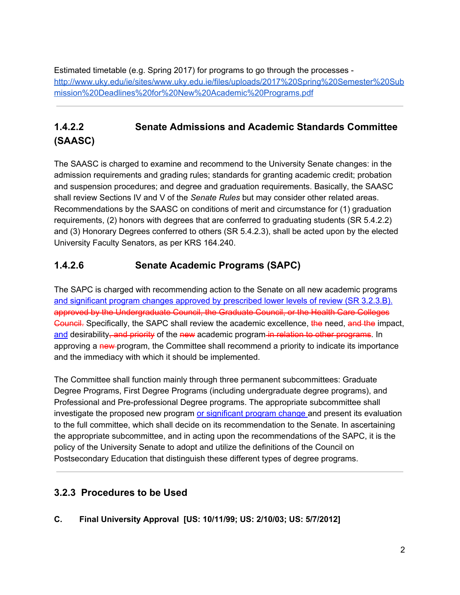Estimated timetable (e.g. Spring 2017) for programs to go through the processes [http://www.uky.edu/ie/sites/www.uky.edu.ie/files/uploads/2017%20Spring%20Semester%20Sub](http://www.uky.edu/ie/sites/www.uky.edu.ie/files/uploads/2017%20Spring%20Semester%20Submission%20Deadlines%20for%20New%20Academic%20Programs.pdf) [mission%20Deadlines%20for%20New%20Academic%20Programs.pdf](http://www.uky.edu/ie/sites/www.uky.edu.ie/files/uploads/2017%20Spring%20Semester%20Submission%20Deadlines%20for%20New%20Academic%20Programs.pdf)

# **1.4.2.2 Senate Admissions and Academic Standards Committee (SAASC)**

The SAASC is charged to examine and recommend to the University Senate changes: in the admission requirements and grading rules; standards for granting academic credit; probation and suspension procedures; and degree and graduation requirements. Basically, the SAASC shall review Sections IV and V of the *Senate Rules* but may consider other related areas. Recommendations by the SAASC on conditions of merit and circumstance for (1) graduation requirements, (2) honors with degrees that are conferred to graduating students (SR 5.4.2.2) and (3) Honorary Degrees conferred to others (SR 5.4.2.3), shall be acted upon by the elected University Faculty Senators, as per KRS 164.240.

# **1.4.2.6 Senate Academic Programs (SAPC)**

The SAPC is charged with recommending action to the Senate on all new academic programs and significant program changes approved by prescribed lower levels of review (SR 3.2.3.B). approved by the Undergraduate Council, the Graduate Council, or the Health Care Colleges Council. Specifically, the SAPC shall review the academic excellence, the need, and the impact, and desirability–and priority of the new academic program in relation to other programs. In approving a new-program, the Committee shall recommend a priority to indicate its importance and the immediacy with which it should be implemented.

The Committee shall function mainly through three permanent subcommittees: Graduate Degree Programs, First Degree Programs (including undergraduate degree programs), and Professional and Pre-professional Degree programs. The appropriate subcommittee shall investigate the proposed new program or significant program change and present its evaluation to the full committee, which shall decide on its recommendation to the Senate. In ascertaining the appropriate subcommittee, and in acting upon the recommendations of the SAPC, it is the policy of the University Senate to adopt and utilize the definitions of the Council on Postsecondary Education that distinguish these different types of degree programs.

## **3.2.3 Procedures to be Used**

**C. Final University Approval [US: 10/11/99; US: 2/10/03; US: 5/7/2012]**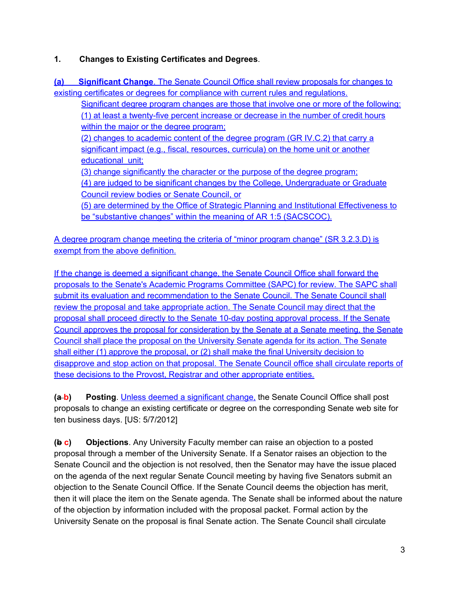### **1. Changes to Existing Certificates and Degrees**.

**(a) Significant Change**. The Senate Council Office shall review proposals for changes to existing certificates or degrees for compliance with current rules and regulations.

Significant degree program changes are those that involve one or more of the following: (1) at least a twenty-five percent increase or decrease in the number of credit hours within the major or the degree program;

(2) changes to academic content of the degree program (GR IV.C.2) that carry a significant impact (e.g., fiscal, resources, curricula) on the home unit or another educational unit;

(3) change significantly the character or the purpose of the degree program; (4) are judged to be significant changes by the College, Undergraduate or Graduate

Council review bodies or Senate Council, or

(5) are determined by the Office of Strategic Planning and Institutional Effectiveness to be "substantive changes" within the meaning of AR 1:5 (SACSCOC).

A degree program change meeting the criteria of "minor program change" (SR 3.2.3.D) is exempt from the above definition.

If the change is deemed a significant change, the Senate Council Office shall forward the proposals to the Senate's Academic Programs Committee (SAPC) for review. The SAPC shall submit its evaluation and recommendation to the Senate Council. The Senate Council shall review the proposal and take appropriate action. The Senate Council may direct that the proposal shall proceed directly to the Senate 10-day posting approval process. If the Senate Council approves the proposal for consideration by the Senate at a Senate meeting, the Senate Council shall place the proposal on the University Senate agenda for its action. The Senate shall either (1) approve the proposal, or (2) shall make the final University decision to disapprove and stop action on that proposal. The Senate Council office shall circulate reports of these decisions to the Provost, Registrar and other appropriate entities.

**(a b) Posting**. Unless deemed a significant change, the Senate Council Office shall post proposals to change an existing certificate or degree on the corresponding Senate web site for ten business days. [US: 5/7/2012]

**(b c) Objections**. Any University Faculty member can raise an objection to a posted proposal through a member of the University Senate. If a Senator raises an objection to the Senate Council and the objection is not resolved, then the Senator may have the issue placed on the agenda of the next regular Senate Council meeting by having five Senators submit an objection to the Senate Council Office. If the Senate Council deems the objection has merit, then it will place the item on the Senate agenda. The Senate shall be informed about the nature of the objection by information included with the proposal packet. Formal action by the University Senate on the proposal is final Senate action. The Senate Council shall circulate